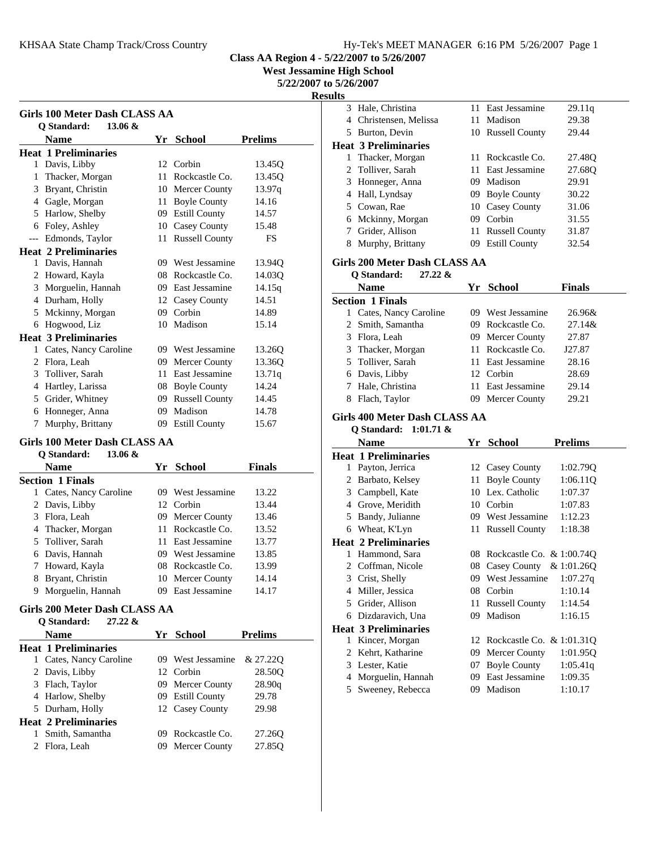**West Jessamine High School**

**5/22/2007 to 5/26/2007**

**Resu** 

| Girls 100 Meter Dash CLASS AA |                             |    |                       |                |
|-------------------------------|-----------------------------|----|-----------------------|----------------|
|                               | Q Standard:<br>$13.06 \&$   |    |                       |                |
|                               | <b>Name</b>                 | Yr | <b>School</b>         | <b>Prelims</b> |
|                               | <b>Heat 1 Preliminaries</b> |    |                       |                |
| 1                             | Davis, Libby                |    | 12 Corbin             | 13.45O         |
| 1                             | Thacker, Morgan             | 11 | Rockcastle Co.        | 13.45Q         |
| 3                             | Bryant, Christin            |    | 10 Mercer County      | 13.97q         |
| 4                             | Gagle, Morgan               | 11 | <b>Boyle County</b>   | 14.16          |
| 5                             | Harlow, Shelby              | 09 | <b>Estill County</b>  | 14.57          |
| 6                             | Foley, Ashley               | 10 | Casey County          | 15.48          |
| ---                           | Edmonds, Taylor             | 11 | <b>Russell County</b> | FS             |
|                               | <b>Heat 2 Preliminaries</b> |    |                       |                |
| 1                             | Davis, Hannah               | 09 | West Jessamine        | 13.940         |
| 2                             | Howard, Kayla               |    | 08 Rockcastle Co.     | 14.030         |
| 3                             | Morguelin, Hannah           | 09 | East Jessamine        | 14.15q         |
| 4                             | Durham, Holly               |    | 12 Casey County       | 14.51          |
| 5                             | Mckinny, Morgan             | 09 | Corbin                | 14.89          |
| 6                             | Hogwood, Liz                | 10 | Madison               | 15.14          |
|                               | <b>Heat 3 Preliminaries</b> |    |                       |                |
| 1                             | Cates, Nancy Caroline       |    | 09 West Jessamine     | 13.26Q         |
| 2                             | Flora, Leah                 | 09 | Mercer County         | 13.36Q         |
| 3                             | Tolliver, Sarah             | 11 | East Jessamine        | 13.71q         |
| 4                             | Hartley, Larissa            |    | 08 Boyle County       | 14.24          |
| 5                             | Grider, Whitney             | 09 | <b>Russell County</b> | 14.45          |
| 6                             | Honneger, Anna              | 09 | Madison               | 14.78          |
| 7                             | Murphy, Brittany            | 09 | <b>Estill County</b>  | 15.67          |

#### **Girls 100 Meter Dash CLASS AA Q Standard: 13.06 &**

| v vuuusevu                 |     |                   |               |  |
|----------------------------|-----|-------------------|---------------|--|
| <b>Name</b>                |     | Yr School         | <b>Finals</b> |  |
| <b>Section 1 Finals</b>    |     |                   |               |  |
| Cates, Nancy Caroline<br>1 | 09. | West Jessamine    | 13.22         |  |
| 2 Davis, Libby             |     | 12 Corbin         | 13.44         |  |
| Flora, Leah<br>3           |     | 09 Mercer County  | 13.46         |  |
| 4 Thacker, Morgan          |     | 11 Rockcastle Co. | 13.52         |  |
| 5 Tolliver, Sarah          |     | 11 East Jessamine | 13.77         |  |
| 6 Davis, Hannah            |     | 09 West Jessamine | 13.85         |  |
| Howard, Kayla<br>7         |     | 08 Rockcastle Co. | 13.99         |  |
| Bryant, Christin<br>8      |     | 10 Mercer County  | 14.14         |  |
| Morguelin, Hannah<br>9     |     | East Jessamine    | 14.17         |  |
|                            |     |                   |               |  |

## **Girls 200 Meter Dash CLASS AA**

|   | $27.22 \&$<br>O Standard:   |    |                   |                    |
|---|-----------------------------|----|-------------------|--------------------|
|   | <b>Name</b>                 | Yr | <b>School</b>     | <b>Prelims</b>     |
|   | <b>Heat 1 Preliminaries</b> |    |                   |                    |
| 1 | Cates, Nancy Caroline       |    | 09 West Jessamine | & 27.220           |
|   | 2 Davis, Libby              |    | 12 Corbin         | 28.50 <sub>O</sub> |
| 3 | Flach, Taylor               |    | 09 Mercer County  | 28.90q             |
| 4 | Harlow, Shelby              |    | 09 Estill County  | 29.78              |
|   | 5 Durham, Holly             |    | 12 Casey County   | 29.98              |
|   | <b>Heat 2 Preliminaries</b> |    |                   |                    |
|   | Smith, Samantha             | 09 | Rockcastle Co.    | 27.260             |
|   | Flora, Leah                 |    | 09 Mercer County  | 27.85 <sub>O</sub> |

| ılts |                |                                       |          |                                                 |                     |
|------|----------------|---------------------------------------|----------|-------------------------------------------------|---------------------|
|      | 3              | Hale, Christina                       | 11       | East Jessamine                                  | 29.11q              |
|      | 4              | Christensen, Melissa                  |          | 11 Madison                                      | 29.38               |
|      | 5              | Burton, Devin                         |          | 10 Russell County                               | 29.44               |
|      |                | <b>Heat 3 Preliminaries</b>           |          |                                                 |                     |
|      |                | 1 Thacker, Morgan                     |          | 11 Rockcastle Co.                               | 27.48Q              |
|      |                | 2 Tolliver, Sarah                     |          | 11 East Jessamine                               | 27.68Q              |
|      |                | 3 Honneger, Anna                      |          | 09 Madison                                      | 29.91               |
|      |                | 4 Hall, Lyndsay                       |          | 09 Boyle County                                 | 30.22               |
|      |                | 5 Cowan, Rae                          |          | 10 Casey County                                 | 31.06               |
|      |                | 6 Mckinny, Morgan                     |          | 09 Corbin                                       | 31.55               |
|      |                | 7 Grider, Allison                     |          | 11 Russell County                               | 31.87               |
|      |                | 8 Murphy, Brittany                    |          | 09 Estill County                                | 32.54               |
|      |                |                                       |          |                                                 |                     |
|      |                | Girls 200 Meter Dash CLASS AA         |          |                                                 |                     |
|      |                | 27.22 &<br>Q Standard:                |          |                                                 |                     |
|      |                | <b>Name</b>                           |          | Yr School                                       | <b>Finals</b>       |
|      |                | <b>Section 1 Finals</b>               |          |                                                 |                     |
|      |                | 1 Cates, Nancy Caroline               |          | 09 West Jessamine                               | 26.96&              |
|      | 2              | Smith, Samantha                       |          | 09 Rockcastle Co.                               | 27.14&              |
|      |                | 3 Flora, Leah                         |          | 09 Mercer County                                | 27.87               |
|      |                | 3 Thacker, Morgan                     |          | 11 Rockcastle Co.                               | J27.87              |
|      |                | 5 Tolliver, Sarah                     |          | 11 East Jessamine                               | 28.16               |
|      |                | 6 Davis, Libby                        |          | 12 Corbin                                       | 28.69               |
|      |                | 7 Hale, Christina                     |          | 11 East Jessamine                               | 29.14               |
|      |                | 8 Flach, Taylor                       |          | 09 Mercer County                                | 29.21               |
|      |                |                                       |          |                                                 |                     |
|      |                |                                       |          |                                                 |                     |
|      |                | Girls 400 Meter Dash CLASS AA         |          |                                                 |                     |
|      |                | Q Standard:<br>$1:01.71$ &            |          |                                                 |                     |
|      |                | <b>Name</b>                           |          | Yr School                                       | <b>Prelims</b>      |
|      |                | <b>Heat 1 Preliminaries</b>           |          |                                                 |                     |
|      | 1              | Payton, Jerrica                       | 11       | 12 Casey County                                 | 1:02.79Q            |
|      |                | 2 Barbato, Kelsey                     |          | <b>Boyle County</b><br>10 Lex. Catholic         | 1:06.11Q<br>1:07.37 |
|      |                | 3 Campbell, Kate                      |          | 10 Corbin                                       | 1:07.83             |
|      |                | 4 Grove, Meridith                     |          | 09 West Jessamine                               | 1:12.23             |
|      |                | 5 Bandy, Julianne                     |          |                                                 | 1:18.38             |
|      |                | 6 Wheat, K'Lyn                        |          | 11 Russell County                               |                     |
|      |                | <b>Heat 2 Preliminaries</b>           |          |                                                 |                     |
|      |                | 1 Hammond, Sara                       |          | 08 Rockcastle Co. & 1:00.74Q                    |                     |
|      | 3              | 2 Coffman, Nicole                     |          | 08 Casey County & 1:01.26Q<br>09 West Jessamine |                     |
|      | $\overline{4}$ | Crist, Shelly                         | 08       | Corbin                                          | 1:07.27q<br>1:10.14 |
|      | 5              | Miller, Jessica                       | 11       |                                                 | 1:14.54             |
|      |                | Grider, Allison                       | 09       | <b>Russell County</b><br>Madison                | 1:16.15             |
|      |                | 6 Dizdaravich, Una                    |          |                                                 |                     |
|      | 1              | <b>Heat 3 Preliminaries</b>           |          |                                                 |                     |
|      | 2              | Kincer, Morgan                        | 09       | 12 Rockcastle Co. & 1:01.31Q                    |                     |
|      |                | Kehrt, Katharine                      |          | <b>Mercer County</b>                            | 1:01.95Q            |
|      |                | 3 Lester, Katie                       |          | 07 Boyle County                                 | 1:05.41q            |
|      | 4<br>5         | Morguelin, Hannah<br>Sweeney, Rebecca | 09<br>09 | East Jessamine<br>Madison                       | 1:09.35<br>1:10.17  |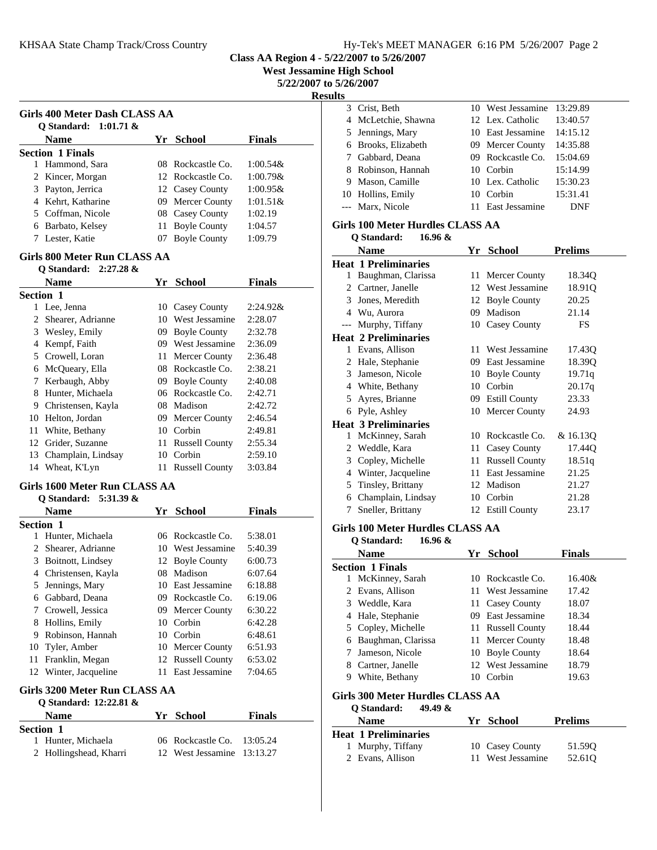**Class AA Region 4 - 5/22/2007 to 5/26/2007**

**West Jessamine High School**

**5/22/2007 to 5/26/2007**

### **Results**

| Girls 400 Meter Dash CLASS AA<br>O Standard: $1:01.71$ & |  |                     |               |  |
|----------------------------------------------------------|--|---------------------|---------------|--|
| <b>Name</b>                                              |  | Yr School           | <b>Finals</b> |  |
| <b>Section 1 Finals</b>                                  |  |                     |               |  |
| Hammond, Sara                                            |  | $08$ Rockcastle Co. | $1:00.54\&$   |  |
| 2 Kincer, Morgan                                         |  | 12. Rockcastle Co.  | $1:00.79\&$   |  |
| 3 Payton, Jerrica                                        |  | 12 Casey County     | $1:00.95\&$   |  |
| 4 Kehrt, Katharine                                       |  | 09 Mercer County    | $1:01.51\&$   |  |
| 5 Coffman, Nicole                                        |  | 08 Casey County     | 1:02.19       |  |
| Barbato, Kelsey                                          |  | 11 Boyle County     | 1:04.57       |  |
| Lester, Katie                                            |  | <b>Boyle County</b> | 1:09.79       |  |

#### **Girls 800 Meter Run CLASS AA Q Standard: 2:27.28 &**

|    | $\sigma$ Standard: 2:27.20 $\alpha$ |     |                       |               |
|----|-------------------------------------|-----|-----------------------|---------------|
|    | <b>Name</b>                         | Yr. | <b>School</b>         | <b>Finals</b> |
|    | <b>Section 1</b>                    |     |                       |               |
| 1  | Lee, Jenna                          | 10- | Casey County          | $2:24.92\&$   |
| 2  | Shearer, Adrianne                   | 10  | West Jessamine        | 2:28.07       |
| 3  | Wesley, Emily                       | 09  | <b>Boyle County</b>   | 2:32.78       |
| 4  | Kempf, Faith                        | 09  | West Jessamine        | 2:36.09       |
| 5  | Crowell, Loran                      | 11  | Mercer County         | 2:36.48       |
| 6  | McQueary, Ella                      | 08  | Rockcastle Co.        | 2:38.21       |
| 7  | Kerbaugh, Abby                      | 09  | <b>Boyle County</b>   | 2:40.08       |
| 8  | Hunter, Michaela                    | 06  | Rockcastle Co.        | 2:42.71       |
| 9  | Christensen, Kayla                  |     | 08 Madison            | 2:42.72       |
| 10 | Helton, Jordan                      | 09  | Mercer County         | 2:46.54       |
| 11 | White, Bethany                      | 10. | Corbin                | 2:49.81       |
| 12 | Grider, Suzanne                     | 11  | <b>Russell County</b> | 2:55.34       |
| 13 | Champlain, Lindsay                  | 10  | Corbin                | 2:59.10       |
| 14 | Wheat, K'Lyn                        | 11  | <b>Russell County</b> | 3:03.84       |
|    |                                     |     |                       |               |

## **Girls 1600 Meter Run CLASS AA**

#### **Q Standard: 5:31.39 &**

|           | <b>Name</b>        | Yr  | <b>School</b>     | <b>Finals</b> |
|-----------|--------------------|-----|-------------------|---------------|
| Section 1 |                    |     |                   |               |
|           | Hunter, Michaela   |     | 06 Rockcastle Co. | 5:38.01       |
| 2         | Shearer, Adrianne  |     | 10 West Jessamine | 5:40.39       |
| 3         | Boitnott, Lindsey  |     | 12 Boyle County   | 6:00.73       |
| 4         | Christensen, Kayla | 08. | Madison           | 6:07.64       |
| 5         | Jennings, Mary     |     | 10 East Jessamine | 6:18.88       |
| 6         | Gabbard, Deana     |     | 09 Rockcastle Co. | 6:19.06       |
| 7         | Crowell, Jessica   |     | 09 Mercer County  | 6:30.22       |
| 8         | Hollins, Emily     | 10  | Corbin            | 6:42.28       |
| 9         | Robinson, Hannah   |     | 10 Corbin         | 6:48.61       |
| 10        | Tyler, Amber       |     | 10 Mercer County  | 6:51.93       |
| 11        | Franklin, Megan    |     | 12 Russell County | 6:53.02       |
| 12        | Winter, Jacqueline | 11  | East Jessamine    | 7:04.65       |
|           |                    |     |                   |               |

#### **Girls 3200 Meter Run CLASS AA Q Standard: 12:22.81 &**

| O Standard: $12:22.81 \&$ |                            |               |  |
|---------------------------|----------------------------|---------------|--|
| <b>Name</b>               | Yr School                  | <b>Finals</b> |  |
| <b>Section 1</b>          |                            |               |  |
| 1 Hunter, Michaela        | 06 Rockcastle Co. 13:05.24 |               |  |
| 2 Hollingshead, Kharri    | 12 West Jessamine 13:13.27 |               |  |
|                           |                            |               |  |

| c  |                     |     |                   |          |
|----|---------------------|-----|-------------------|----------|
|    | 3 Crist, Beth       |     | 10 West Jessamine | 13:29.89 |
|    | 4 McLetchie, Shawna |     | 12 Lex. Catholic  | 13:40.57 |
|    | 5 Jennings, Mary    |     | 10 East Jessamine | 14:15.12 |
|    | 6 Brooks, Elizabeth |     | 09 Mercer County  | 14:35.88 |
|    | 7 Gabbard, Deana    |     | 09 Rockcastle Co. | 15:04.69 |
|    | 8 Robinson, Hannah  |     | 10 Corbin         | 15:14.99 |
| 9. | Mason, Camille      |     | 10 Lex. Catholic  | 15:30.23 |
|    | 10 Hollins, Emily   | 10. | Corbin            | 15:31.41 |
|    | --- Marx, Nicole    |     | 11 East Jessamine | DNF      |
|    |                     |     |                   |          |

## **Girls 100 Meter Hurdles CLASS AA**

| O Standard:<br>16.96 &                  |    |                       |                    |
|-----------------------------------------|----|-----------------------|--------------------|
| <b>Name</b>                             |    | Yr School             | <b>Prelims</b>     |
| <b>Heat 1 Preliminaries</b>             |    |                       |                    |
| Baughman, Clarissa<br>1                 | 11 | Mercer County         | 18.34Q             |
| 2 Cartner, Janelle                      | 12 | West Jessamine        | 18.91 <sub>O</sub> |
| 3 Jones, Meredith                       | 12 | <b>Boyle County</b>   | 20.25              |
| 4 Wu, Aurora                            | 09 | Madison               | 21.14              |
| Murphy, Tiffany<br>---                  | 10 | Casey County          | FS                 |
| <b>Heat 2 Preliminaries</b>             |    |                       |                    |
| Evans, Allison<br>1.                    | 11 | West Jessamine        | 17.43Q             |
| 2 Hale, Stephanie                       | 09 | East Jessamine        | 18.39Q             |
| Jameson, Nicole<br>3                    | 10 | <b>Boyle County</b>   | 19.71q             |
| 4 White, Bethany                        | 10 | Corbin                | 20.17q             |
| Ayres, Brianne<br>5                     |    | 09 Estill County      | 23.33              |
| Pyle, Ashley<br>6                       |    | 10 Mercer County      | 24.93              |
| <b>Heat 3 Preliminaries</b>             |    |                       |                    |
| McKinney, Sarah<br>1                    | 10 | Rockcastle Co.        | & 16.13Q           |
| 2 Weddle, Kara                          | 11 | Casey County          | 17.44 <sub>O</sub> |
| Copley, Michelle<br>3                   | 11 | <b>Russell County</b> | 18.51q             |
| Winter, Jacqueline<br>4                 | 11 | East Jessamine        | 21.25              |
| Tinsley, Brittany<br>5                  | 12 | Madison               | 21.27              |
| 6 Champlain, Lindsay                    | 10 | Corbin                | 21.28              |
| Sneller, Brittany<br>7                  |    | 12 Estill County      | 23.17              |
| <b>Girls 100 Meter Hurdles CLASS AA</b> |    |                       |                    |
| Q Standard:<br>16.96 &                  |    |                       |                    |
| <b>Name</b>                             |    | Yr School             | <b>Finals</b>      |
| <b>Section 1 Finals</b>                 |    |                       |                    |
| McKinney, Sarah<br>1                    | 10 | Rockcastle Co.        | 16.40&             |
| Evans, Allison<br>2                     | 11 | West Jessamine        | 17.42              |
| 3<br>Weddle, Kara                       | 11 | <b>Casey County</b>   | 18.07              |

4 18.34 Hale, Stephanie 09 East Jessamine 5 Copley, Michelle 11 Russell County 18.44 6 Baughman, Clarissa 11 Mercer County 18.48 7 Jameson, Nicole 10 Boyle County 18.64 8 Cartner, Janelle 12 West Jessamine 18.79 9 White, Bethany 10 Corbin 19.63

1 Murphy, Tiffany 10 Casey County 51.59Q 2 Evans, Allison 11 West Jessamine 52.61Q

**Name Prelims Yr School**

**Girls 300 Meter Hurdles CLASS AA**

**Q Standard: 49.49 &**

**Heat 1 Preliminaries**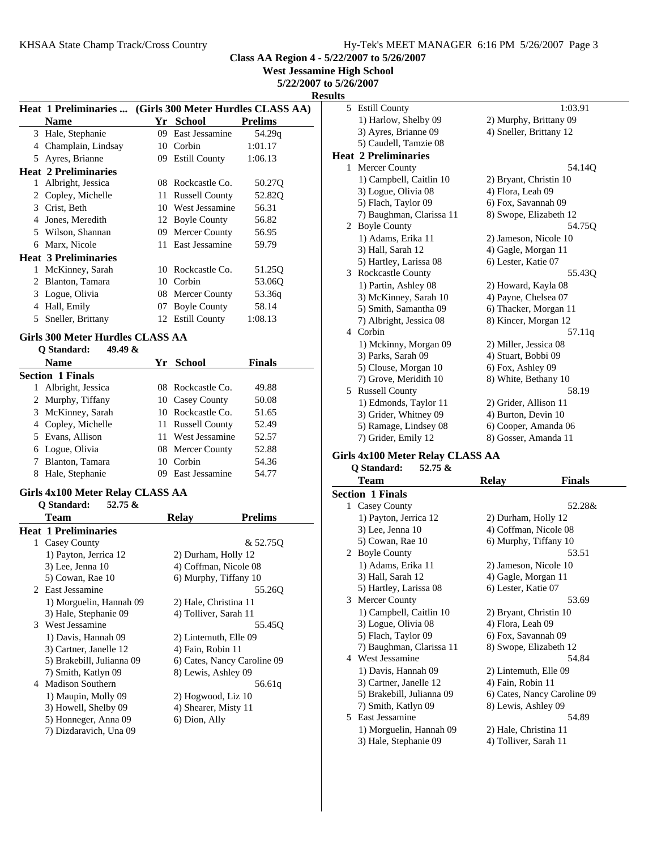**West Jessamine High School**

**5/22/2007 to 5/26/2007**

**Results**

|    | Heat 1 Preliminaries  (Girls 300 Meter Hurdles CLASS AA) |    |                       |                |
|----|----------------------------------------------------------|----|-----------------------|----------------|
|    | <b>Name</b>                                              |    | Yr School             | <b>Prelims</b> |
| 3  | Hale, Stephanie                                          | 09 | East Jessamine        | 54.29q         |
| 4  | Champlain, Lindsay                                       |    | 10 Corbin             | 1:01.17        |
| 5  | Ayres, Brianne                                           | 09 | <b>Estill County</b>  | 1:06.13        |
|    | <b>Heat 2 Preliminaries</b>                              |    |                       |                |
| 1  | Albright, Jessica                                        |    | 08 Rockcastle Co.     | 50.27Q         |
| 2  | Copley, Michelle                                         | 11 | <b>Russell County</b> | 52.82Q         |
|    | 3 Crist, Beth                                            | 10 | West Jessamine        | 56.31          |
| 4  | Jones, Meredith                                          |    | 12 Boyle County       | 56.82          |
| 5. | Wilson, Shannan                                          | 09 | Mercer County         | 56.95          |
| 6  | Marx, Nicole                                             | 11 | East Jessamine        | 59.79          |
|    | <b>Heat 3 Preliminaries</b>                              |    |                       |                |
| 1  | McKinney, Sarah                                          | 10 | Rockcastle Co.        | 51.25Q         |
| 2  | Blanton, Tamara                                          | 10 | Corbin                | 53.06Q         |
| 3  | Logue, Olivia                                            |    | 08 Mercer County      | 53.36q         |
| 4  | Hall, Emily                                              | 07 | <b>Boyle County</b>   | 58.14          |
| 5  | Sneller, Brittany                                        |    | 12 Estill County      | 1:08.13        |
|    | Girls 300 Meter Hurdles CLASS AA                         |    |                       |                |
|    | 49.49 &<br>Q Standard:                                   |    |                       |                |
|    | <b>Name</b>                                              | Yr | <b>School</b>         | <b>Finals</b>  |
|    | <b>Section 1 Finals</b>                                  |    |                       |                |
| 1  | Albright, Jessica                                        |    | 08 Rockcastle Co.     | 49.88          |
| 2  | Murphy, Tiffany                                          |    | 10 Casey County       | 50.08          |

| 2 Murphy, Tiffany  | 10 Casey County   | 50.08 |
|--------------------|-------------------|-------|
| 3 McKinney, Sarah  | 10 Rockcastle Co. | 51.65 |
| 4 Copley, Michelle | 11 Russell County | 52.49 |
| 5 Evans, Allison   | 11 West Jessamine | 52.57 |
| 6 Logue, Olivia    | 08 Mercer County  | 52.88 |
| 7 Blanton, Tamara  | 10 Corbin         | 54.36 |
| 8 Hale, Stephanie  | 09 East Jessamine | 54.77 |

#### **Girls 4x100 Meter Relay CLASS AA Q Standard: 52.75 &**

| O Stanuaru.<br>$34.13 \alpha$ |                             |
|-------------------------------|-----------------------------|
| <b>Team</b>                   | <b>Prelims</b><br>Relav     |
| <b>Heat 1 Preliminaries</b>   |                             |
| Casey County<br>1             | & 52.75Q                    |
| 1) Payton, Jerrica 12         | 2) Durham, Holly 12         |
| $3)$ Lee, Jenna $10$          | 4) Coffman, Nicole 08       |
| 5) Cowan, Rae 10              | 6) Murphy, Tiffany 10       |
| 2 East Jessamine              | 55.260                      |
| 1) Morguelin, Hannah 09       | 2) Hale, Christina 11       |
| 3) Hale, Stephanie 09         | 4) Tolliver, Sarah 11       |
| 3 West Jessamine              | 55.45 <sub>O</sub>          |
| 1) Davis, Hannah 09           | 2) Lintemuth, Elle 09       |
| 3) Cartner, Janelle 12        | 4) Fain, Robin 11           |
| 5) Brakebill, Julianna 09     | 6) Cates, Nancy Caroline 09 |
| 7) Smith, Katlyn 09           | 8) Lewis, Ashley 09         |
| <b>Madison Southern</b><br>4  | 56.61g                      |
| 1) Maupin, Molly 09           | 2) Hogwood, Liz 10          |
| 3) Howell, Shelby 09          | 4) Shearer, Misty 11        |
| 5) Honneger, Anna 09          | 6) Dion, Ally               |
| 7) Dizdaravich, Una 09        |                             |

| யக           |                             |                         |
|--------------|-----------------------------|-------------------------|
| 5            | <b>Estill County</b>        | 1:03.91                 |
|              | 1) Harlow, Shelby 09        | 2) Murphy, Brittany 09  |
|              | 3) Ayres, Brianne 09        | 4) Sneller, Brittany 12 |
|              | 5) Caudell, Tamzie 08       |                         |
|              | <b>Heat 2 Preliminaries</b> |                         |
| $\mathbf{1}$ | Mercer County               | 54.14Q                  |
|              | 1) Campbell, Caitlin 10     | 2) Bryant, Christin 10  |
|              | 3) Logue, Olivia 08         | 4) Flora, Leah 09       |
|              | 5) Flach, Taylor 09         | 6) Fox, Savannah 09     |
|              | 7) Baughman, Clarissa 11    | 8) Swope, Elizabeth 12  |
|              | 2 Boyle County              | 54.75Q                  |
|              | 1) Adams, Erika 11          | 2) Jameson, Nicole 10   |
|              | 3) Hall, Sarah 12           | 4) Gagle, Morgan 11     |
|              | 5) Hartley, Larissa 08      | 6) Lester, Katie 07     |
|              | 3 Rockcastle County         | 55.43Q                  |
|              | 1) Partin, Ashley 08        | 2) Howard, Kayla 08     |
|              | 3) McKinney, Sarah 10       | 4) Payne, Chelsea 07    |
|              | 5) Smith, Samantha 09       | 6) Thacker, Morgan 11   |
|              | 7) Albright, Jessica 08     | 8) Kincer, Morgan 12    |
|              | 4 Corbin                    | 57.11q                  |
|              | 1) Mckinny, Morgan 09       | 2) Miller, Jessica 08   |
|              | 3) Parks, Sarah 09          | 4) Stuart, Bobbi 09     |
|              | 5) Clouse, Morgan 10        | 6) Fox, Ashley 09       |
|              | 7) Grove, Meridith 10       | 8) White, Bethany 10    |
| 5            | <b>Russell County</b>       | 58.19                   |
|              | 1) Edmonds, Taylor 11       | 2) Grider, Allison 11   |
|              | 3) Grider, Whitney 09       | 4) Burton, Devin 10     |
|              | 5) Ramage, Lindsey 08       | 6) Cooper, Amanda 06    |
|              | 7) Grider, Emily 12         | 8) Gosser, Amanda 11    |

## **Girls 4x100 Meter Relay CLASS AA**

**Q Standard: 52.75 &**

|    | <b>Team</b>               | Relav                  | Finals                      |
|----|---------------------------|------------------------|-----------------------------|
|    | <b>Section 1 Finals</b>   |                        |                             |
|    | 1 Casey County            |                        | 52.28&                      |
|    | 1) Payton, Jerrica 12     | 2) Durham, Holly 12    |                             |
|    | $3)$ Lee, Jenna $10$      | 4) Coffman, Nicole 08  |                             |
|    | 5) Cowan, Rae 10          | 6) Murphy, Tiffany 10  |                             |
|    | 2 Boyle County            |                        | 53.51                       |
|    | 1) Adams, Erika 11        | 2) Jameson, Nicole 10  |                             |
|    | 3) Hall, Sarah 12         | 4) Gagle, Morgan 11    |                             |
|    | 5) Hartley, Larissa 08    | 6) Lester, Katie 07    |                             |
| 3  | Mercer County             |                        | 53.69                       |
|    | 1) Campbell, Caitlin 10   | 2) Bryant, Christin 10 |                             |
|    | 3) Logue, Olivia 08       | 4) Flora, Leah 09      |                             |
|    | 5) Flach, Taylor 09       | 6) Fox, Savannah 09    |                             |
|    | 7) Baughman, Clarissa 11  |                        | 8) Swope, Elizabeth 12      |
|    | 4 West Jessamine          |                        | 54.84                       |
|    | 1) Davis, Hannah 09       | 2) Lintemuth, Elle 09  |                             |
|    | 3) Cartner, Janelle 12    | 4) Fain, Robin 11      |                             |
|    | 5) Brakebill, Julianna 09 |                        | 6) Cates, Nancy Caroline 09 |
|    | 7) Smith, Katlyn 09       | 8) Lewis, Ashley 09    |                             |
| 5. | East Jessamine            |                        | 54.89                       |
|    | 1) Morguelin, Hannah 09   | 2) Hale, Christina 11  |                             |
|    | 3) Hale, Stephanie 09     | 4) Tolliver, Sarah 11  |                             |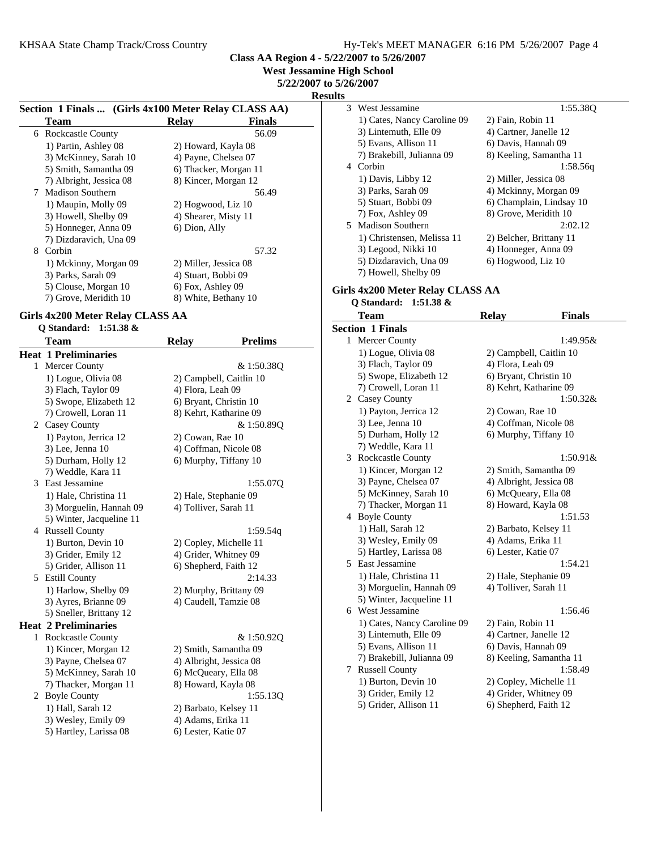**West Jessamine High School**

**5/22/2007 to 5/26/2007**

**Results**

|                                                      |                       |               | д |
|------------------------------------------------------|-----------------------|---------------|---|
| Section 1 Finals  (Girls 4x100 Meter Relay CLASS AA) |                       |               |   |
| Team                                                 | <b>Relay</b>          | <b>Finals</b> |   |
| Rockcastle County<br>6                               |                       | 56.09         |   |
| 1) Partin, Ashley 08                                 | 2) Howard, Kayla 08   |               |   |
| 3) McKinney, Sarah 10                                | 4) Payne, Chelsea 07  |               |   |
| 5) Smith, Samantha 09                                | 6) Thacker, Morgan 11 |               |   |
| 7) Albright, Jessica 08                              | 8) Kincer, Morgan 12  |               |   |
| <b>Madison Southern</b><br>7                         |                       | 56.49         |   |
| 1) Maupin, Molly 09                                  | 2) Hogwood, Liz 10    |               |   |
| 3) Howell, Shelby 09                                 | 4) Shearer, Misty 11  |               |   |
| 5) Honneger, Anna 09                                 | 6) Dion, Ally         |               |   |
| 7) Dizdaravich, Una 09                               |                       |               |   |
| Corbin<br>8                                          |                       | 57.32         |   |
| 1) Mckinny, Morgan 09                                | 2) Miller, Jessica 08 |               |   |
| 3) Parks, Sarah 09                                   | 4) Stuart, Bobbi 09   |               |   |
| 5) Clouse, Morgan 10                                 | 6) Fox, Ashley 09     |               |   |
| 7) Grove, Meridith 10                                | 8) White, Bethany 10  |               |   |

#### **Girls 4x200 Meter Relay CLASS AA**

# **Q Standard: 1:51.38 &**

|   | Team                        | <b>Relay</b>          | <b>Prelims</b>          |
|---|-----------------------------|-----------------------|-------------------------|
|   | <b>Heat 1 Preliminaries</b> |                       |                         |
| 1 | Mercer County               |                       | & 1:50.38Q              |
|   | 1) Logue, Olivia 08         |                       | 2) Campbell, Caitlin 10 |
|   | 3) Flach, Taylor 09         | 4) Flora, Leah 09     |                         |
|   | 5) Swope, Elizabeth 12      |                       | 6) Bryant, Christin 10  |
|   | 7) Crowell, Loran 11        |                       | 8) Kehrt, Katharine 09  |
|   | 2 Casey County              |                       | & 1:50.89Q              |
|   | 1) Payton, Jerrica 12       | 2) Cowan, Rae 10      |                         |
|   | 3) Lee, Jenna 10            |                       | 4) Coffman, Nicole 08   |
|   | 5) Durham, Holly 12         |                       | 6) Murphy, Tiffany 10   |
|   | 7) Weddle, Kara 11          |                       |                         |
| 3 | East Jessamine              |                       | 1:55.070                |
|   | 1) Hale, Christina 11       | 2) Hale, Stephanie 09 |                         |
|   | 3) Morguelin, Hannah 09     | 4) Tolliver, Sarah 11 |                         |
|   | 5) Winter, Jacqueline 11    |                       |                         |
| 4 | <b>Russell County</b>       |                       | 1:59.54q                |
|   | 1) Burton, Devin 10         |                       | 2) Copley, Michelle 11  |
|   | 3) Grider, Emily 12         |                       | 4) Grider, Whitney 09   |
|   | 5) Grider, Allison 11       | 6) Shepherd, Faith 12 |                         |
| 5 | <b>Estill County</b>        |                       | 2:14.33                 |
|   | 1) Harlow, Shelby 09        |                       | 2) Murphy, Brittany 09  |
|   | 3) Ayres, Brianne 09        |                       | 4) Caudell, Tamzie 08   |
|   | 5) Sneller, Brittany 12     |                       |                         |
|   | <b>Heat 2 Preliminaries</b> |                       |                         |
| 1 | <b>Rockcastle County</b>    |                       | & 1:50.92Q              |
|   | 1) Kincer, Morgan 12        |                       | 2) Smith, Samantha 09   |
|   | 3) Payne, Chelsea 07        |                       | 4) Albright, Jessica 08 |
|   | 5) McKinney, Sarah 10       |                       | 6) McQueary, Ella 08    |
|   | 7) Thacker, Morgan 11       | 8) Howard, Kayla 08   |                         |
| 2 | <b>Boyle County</b>         |                       | 1:55.130                |
|   | 1) Hall, Sarah 12           | 2) Barbato, Kelsey 11 |                         |
|   | 3) Wesley, Emily 09         | 4) Adams, Erika 11    |                         |
|   | 5) Hartley, Larissa 08      | 6) Lester, Katie 07   |                         |

| West Jessamine<br>3         | 1:55.380                 |
|-----------------------------|--------------------------|
| 1) Cates, Nancy Caroline 09 | 2) Fain, Robin 11        |
| 3) Lintemuth, Elle 09       | 4) Cartner, Janelle 12   |
| 5) Evans, Allison 11        | 6) Davis, Hannah 09      |
| 7) Brakebill, Julianna 09   | 8) Keeling, Samantha 11  |
| Corbin<br>4                 | 1:58.56g                 |
| 1) Davis, Libby 12          | 2) Miller, Jessica 08    |
| 3) Parks, Sarah 09          | 4) Mckinny, Morgan 09    |
| 5) Stuart, Bobbi 09         | 6) Champlain, Lindsay 10 |
| 7) Fox, Ashley 09           | 8) Grove, Meridith 10    |
| 5 Madison Southern          | 2:02.12                  |
| 1) Christensen, Melissa 11  | 2) Belcher, Brittany 11  |
| 3) Legood, Nikki 10         | 4) Honneger, Anna 09     |
| 5) Dizdaravich, Una 09      | 6) Hogwood, Liz 10       |
| 7) Howell, Shelby 09        |                          |

## **Girls 4x200 Meter Relay CLASS AA**

# **Q Standard: 1:51.38 &**

|   | Team                        | <b>Relay</b>            | Finals      |
|---|-----------------------------|-------------------------|-------------|
|   | <b>Section 1 Finals</b>     |                         |             |
|   | 1 Mercer County             |                         | 1:49.95&    |
|   | 1) Logue, Olivia 08         | 2) Campbell, Caitlin 10 |             |
|   | 3) Flach, Taylor 09         | 4) Flora, Leah 09       |             |
|   | 5) Swope, Elizabeth 12      | 6) Bryant, Christin 10  |             |
|   | 7) Crowell, Loran 11        | 8) Kehrt, Katharine 09  |             |
|   | 2 Casey County              |                         | $1:50.32\&$ |
|   | 1) Payton, Jerrica 12       | 2) Cowan, Rae 10        |             |
|   | 3) Lee, Jenna 10            | 4) Coffman, Nicole 08   |             |
|   | 5) Durham, Holly 12         | 6) Murphy, Tiffany 10   |             |
|   | 7) Weddle, Kara 11          |                         |             |
|   | 3 Rockcastle County         |                         | $1:50.91\&$ |
|   | 1) Kincer, Morgan 12        | 2) Smith, Samantha 09   |             |
|   | 3) Payne, Chelsea 07        | 4) Albright, Jessica 08 |             |
|   | 5) McKinney, Sarah 10       | 6) McQueary, Ella 08    |             |
|   | 7) Thacker, Morgan 11       | 8) Howard, Kayla 08     |             |
|   | 4 Boyle County              |                         | 1:51.53     |
|   | 1) Hall, Sarah 12           | 2) Barbato, Kelsey 11   |             |
|   | 3) Wesley, Emily 09         | 4) Adams, Erika 11      |             |
|   | 5) Hartley, Larissa 08      | 6) Lester, Katie 07     |             |
|   | 5 East Jessamine            |                         | 1:54.21     |
|   | 1) Hale, Christina 11       | 2) Hale, Stephanie 09   |             |
|   | 3) Morguelin, Hannah 09     | 4) Tolliver, Sarah 11   |             |
|   | 5) Winter, Jacqueline 11    |                         |             |
|   | 6 West Jessamine            |                         | 1:56.46     |
|   | 1) Cates, Nancy Caroline 09 | 2) Fain, Robin 11       |             |
|   | 3) Lintemuth, Elle 09       | 4) Cartner, Janelle 12  |             |
|   | 5) Evans, Allison 11        | 6) Davis, Hannah 09     |             |
|   | 7) Brakebill, Julianna 09   | 8) Keeling, Samantha 11 |             |
| 7 | <b>Russell County</b>       |                         | 1:58.49     |
|   | 1) Burton, Devin 10         | 2) Copley, Michelle 11  |             |
|   | 3) Grider, Emily 12         | 4) Grider, Whitney 09   |             |
|   | 5) Grider, Allison 11       | 6) Shepherd, Faith 12   |             |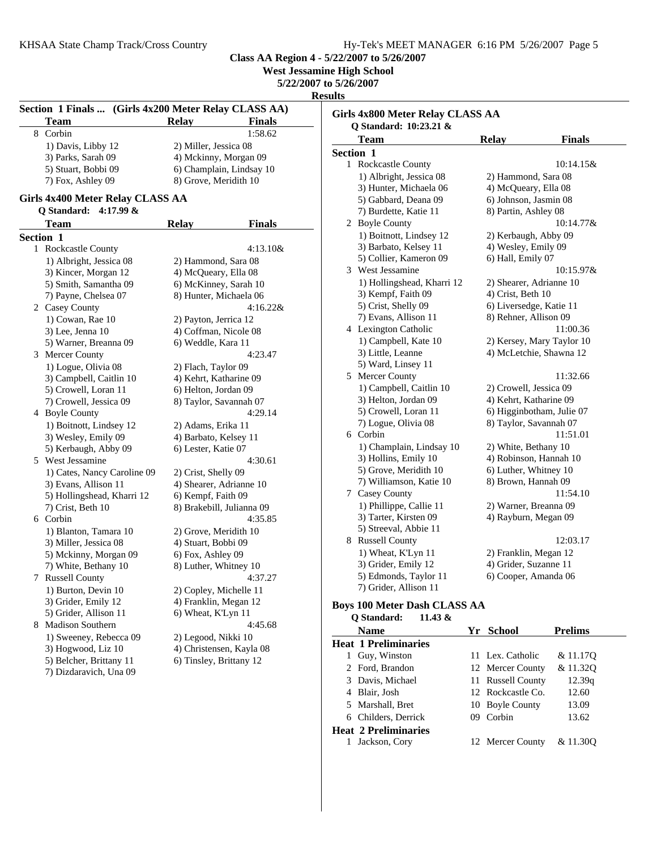**West Jessamine High School**

**5/22/2007 to 5/26/2007**

**Results**

| Section 1 Finals  (Girls 4x200 Meter Relay CLASS AA) |                                                                |                         |                           |  |
|------------------------------------------------------|----------------------------------------------------------------|-------------------------|---------------------------|--|
|                                                      | <b>Team</b>                                                    | <b>Relay</b>            | <b>Finals</b>             |  |
| 8                                                    | Corbin                                                         |                         | 1:58.62                   |  |
|                                                      | 1) Davis, Libby 12                                             | 2) Miller, Jessica 08   |                           |  |
|                                                      | 3) Parks, Sarah 09                                             |                         | 4) Mckinny, Morgan 09     |  |
|                                                      | 5) Stuart, Bobbi 09                                            |                         | 6) Champlain, Lindsay 10  |  |
|                                                      | 7) Fox, Ashley 09                                              | 8) Grove, Meridith 10   |                           |  |
|                                                      | Girls 4x400 Meter Relay CLASS AA<br>4:17.99 $&$<br>Q Standard: |                         |                           |  |
|                                                      | <b>Team</b>                                                    | <b>Relay</b>            | <b>Finals</b>             |  |
|                                                      | Section 1                                                      |                         |                           |  |
|                                                      | 1 Rockcastle County                                            |                         | $4:13.10\&$               |  |
|                                                      | 1) Albright, Jessica 08                                        | 2) Hammond, Sara 08     |                           |  |
|                                                      | 3) Kincer, Morgan 12                                           | 4) McQueary, Ella 08    |                           |  |
|                                                      | 5) Smith, Samantha 09                                          | 6) McKinney, Sarah 10   |                           |  |
|                                                      | 7) Payne, Chelsea 07                                           | 8) Hunter, Michaela 06  |                           |  |
|                                                      | 2 Casey County                                                 |                         | 4:16.22&                  |  |
|                                                      | 1) Cowan, Rae 10                                               | 2) Payton, Jerrica 12   |                           |  |
|                                                      | 3) Lee, Jenna 10                                               | 4) Coffman, Nicole 08   |                           |  |
|                                                      | 5) Warner, Breanna 09                                          | 6) Weddle, Kara 11      |                           |  |
|                                                      | 3 Mercer County                                                |                         | 4:23.47                   |  |
|                                                      | 1) Logue, Olivia 08                                            |                         |                           |  |
|                                                      | 3) Campbell, Caitlin 10                                        | 2) Flach, Taylor 09     |                           |  |
|                                                      |                                                                | 4) Kehrt, Katharine 09  |                           |  |
|                                                      | 5) Crowell, Loran 11                                           | 6) Helton, Jordan 09    |                           |  |
|                                                      | 7) Crowell, Jessica 09                                         | 8) Taylor, Savannah 07  |                           |  |
|                                                      | 4 Boyle County                                                 |                         | 4:29.14                   |  |
|                                                      | 1) Boitnott, Lindsey 12                                        | 2) Adams, Erika 11      |                           |  |
|                                                      | 3) Wesley, Emily 09                                            | 4) Barbato, Kelsey 11   |                           |  |
|                                                      | 5) Kerbaugh, Abby 09                                           | 6) Lester, Katie 07     |                           |  |
|                                                      | 5 West Jessamine                                               |                         | 4:30.61                   |  |
|                                                      | 1) Cates, Nancy Caroline 09                                    | 2) Crist, Shelly 09     |                           |  |
|                                                      | 3) Evans, Allison 11                                           |                         | 4) Shearer, Adrianne 10   |  |
|                                                      | 5) Hollingshead, Kharri 12                                     | 6) Kempf, Faith 09      |                           |  |
|                                                      | 7) Crist, Beth 10                                              |                         | 8) Brakebill, Julianna 09 |  |
|                                                      | 6 Corbin                                                       |                         | 4:35.85                   |  |
|                                                      | 1) Blanton, Tamara 10                                          | 2) Grove, Meridith 10   |                           |  |
|                                                      | 3) Miller, Jessica 08                                          | 4) Stuart, Bobbi 09     |                           |  |
|                                                      | 5) Mckinny, Morgan 09                                          | 6) Fox, Ashley 09       |                           |  |
|                                                      | 7) White, Bethany 10                                           | 8) Luther, Whitney 10   |                           |  |
|                                                      | 7 Russell County                                               |                         | 4:37.27                   |  |
|                                                      | 1) Burton, Devin 10                                            | 2) Copley, Michelle 11  |                           |  |
|                                                      | 3) Grider, Emily 12                                            | 4) Franklin, Megan 12   |                           |  |
|                                                      | 5) Grider, Allison 11                                          | 6) Wheat, K'Lyn 11      |                           |  |
| 8                                                    | Madison Southern                                               |                         | 4:45.68                   |  |
|                                                      | 1) Sweeney, Rebecca 09                                         | 2) Legood, Nikki 10     |                           |  |
|                                                      | 3) Hogwood, Liz 10                                             |                         | 4) Christensen, Kayla 08  |  |
|                                                      | 5) Belcher, Brittany 11                                        | 6) Tinsley, Brittany 12 |                           |  |
|                                                      |                                                                |                         |                           |  |

| Girls 4x800 Meter Relay CLASS AA |                                     |  |                        |                           |
|----------------------------------|-------------------------------------|--|------------------------|---------------------------|
|                                  | O Standard: 10:23.21 &              |  |                        |                           |
|                                  | Team                                |  | <b>Relay</b>           | <b>Finals</b>             |
| <b>Section 1</b>                 |                                     |  |                        |                           |
| 1                                | Rockcastle County                   |  |                        | 10:14.15&                 |
|                                  | 1) Albright, Jessica 08             |  | 2) Hammond, Sara 08    |                           |
|                                  | 3) Hunter, Michaela 06              |  | 4) McQueary, Ella 08   |                           |
|                                  | 5) Gabbard, Deana 09                |  | 6) Johnson, Jasmin 08  |                           |
|                                  | 7) Burdette, Katie 11               |  | 8) Partin, Ashley 08   |                           |
|                                  | 2 Boyle County                      |  |                        | 10:14.77&                 |
|                                  | 1) Boitnott, Lindsey 12             |  | 2) Kerbaugh, Abby 09   |                           |
|                                  | 3) Barbato, Kelsey 11               |  | 4) Wesley, Emily 09    |                           |
|                                  | 5) Collier, Kameron 09              |  | 6) Hall, Emily 07      |                           |
| 3                                | West Jessamine                      |  |                        | 10:15.97&                 |
|                                  | 1) Hollingshead, Kharri 12          |  |                        | 2) Shearer, Adrianne 10   |
|                                  | 3) Kempf, Faith 09                  |  | 4) Crist, Beth 10      |                           |
|                                  | 5) Crist, Shelly 09                 |  |                        | 6) Liversedge, Katie 11   |
|                                  | 7) Evans, Allison 11                |  | 8) Rehner, Allison 09  |                           |
|                                  | 4 Lexington Catholic                |  |                        | 11:00.36                  |
|                                  | 1) Campbell, Kate 10                |  |                        | 2) Kersey, Mary Taylor 10 |
|                                  | 3) Little, Leanne                   |  |                        | 4) McLetchie, Shawna 12   |
|                                  | 5) Ward, Linsey 11                  |  |                        |                           |
|                                  | 5 Mercer County                     |  |                        | 11:32.66                  |
|                                  | 1) Campbell, Caitlin 10             |  | 2) Crowell, Jessica 09 |                           |
|                                  | 3) Helton, Jordan 09                |  | 4) Kehrt, Katharine 09 |                           |
|                                  | 5) Crowell, Loran 11                |  |                        | 6) Higginbotham, Julie 07 |
|                                  | 7) Logue, Olivia 08                 |  |                        | 8) Taylor, Savannah 07    |
| 6                                | Corbin                              |  |                        | 11:51.01                  |
|                                  | 1) Champlain, Lindsay 10            |  | 2) White, Bethany 10   |                           |
|                                  | 3) Hollins, Emily 10                |  |                        | 4) Robinson, Hannah 10    |
|                                  | 5) Grove, Meridith 10               |  | 6) Luther, Whitney 10  |                           |
|                                  | 7) Williamson, Katie 10             |  | 8) Brown, Hannah 09    |                           |
|                                  | 7 Casey County                      |  |                        | 11:54.10                  |
|                                  | 1) Phillippe, Callie 11             |  |                        | 2) Warner, Breanna 09     |
|                                  | 3) Tarter, Kirsten 09               |  | 4) Rayburn, Megan 09   |                           |
|                                  | 5) Streeval, Abbie 11               |  |                        |                           |
| 8                                | <b>Russell County</b>               |  |                        | 12:03.17                  |
|                                  | 1) Wheat, K'Lyn 11                  |  | 2) Franklin, Megan 12  |                           |
|                                  | 3) Grider, Emily 12                 |  | 4) Grider, Suzanne 11  |                           |
|                                  | 5) Edmonds, Taylor 11               |  |                        | 6) Cooper, Amanda 06      |
|                                  | 7) Grider, Allison 11               |  |                        |                           |
|                                  |                                     |  |                        |                           |
|                                  | <b>Boys 100 Meter Dash CLASS AA</b> |  |                        |                           |
|                                  | Q Standard:<br>11.43 &              |  |                        |                           |
|                                  | <b>Name</b>                         |  | Yr School              | <b>Prelims</b>            |

| <b>Heat 1 Preliminaries</b> |                   |          |
|-----------------------------|-------------------|----------|
| 1 Guy, Winston              | 11 Lex. Catholic  | & 11.17Q |
| 2 Ford, Brandon             | 12 Mercer County  | & 11.320 |
| 3 Davis, Michael            | 11 Russell County | 12.39q   |
| 4 Blair, Josh               | 12 Rockcastle Co. | 12.60    |
| 5 Marshall, Bret            | 10 Boyle County   | 13.09    |
| 6 Childers, Derrick         | 09 Corbin         | 13.62    |
| <b>Heat 2 Preliminaries</b> |                   |          |
| Jackson, Cory               | 12 Mercer County  | & 11.300 |
|                             |                   |          |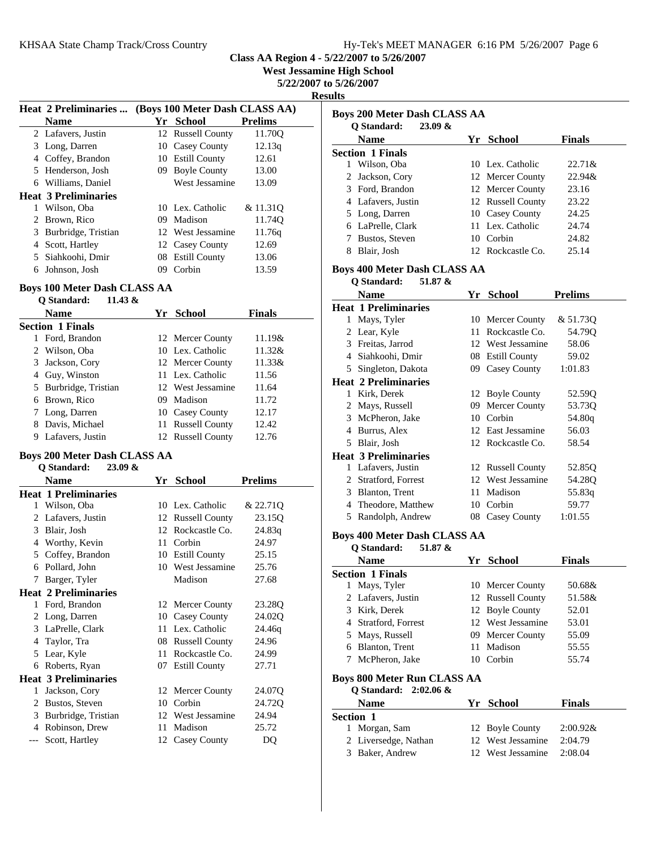| Hy-Tek's MEET MANAGER 6:16 PM 5/26/2007 Page 6 |  |  |  |
|------------------------------------------------|--|--|--|
|------------------------------------------------|--|--|--|

**West Jessamine High School**

**5/22/2007 to 5/26/2007**

**Results**

|                       | <b>Heat 2 Preliminaries </b> |           | (Boys 100 Meter Dash CLASS AA) |                |  |  |
|-----------------------|------------------------------|-----------|--------------------------------|----------------|--|--|
|                       | <b>Name</b>                  |           | Yr School                      | <b>Prelims</b> |  |  |
|                       | 2 Lafavers, Justin           |           | 12 Russell County              | 11.70O         |  |  |
|                       | 3 Long, Darren               |           | 10 Casey County                | 12.13q         |  |  |
|                       | 4 Coffey, Brandon            |           | 10 Estill County               | 12.61          |  |  |
|                       | 5 Henderson, Josh            | 09.       | <b>Boyle County</b>            | 13.00          |  |  |
|                       | 6 Williams, Daniel           |           | West Jessamine                 | 13.09          |  |  |
|                       | <b>Heat 3 Preliminaries</b>  |           |                                |                |  |  |
|                       | Wilson, Oba                  |           | 10 Lex. Catholic               | & 11.310       |  |  |
| $\mathbf{2}^{\prime}$ | Brown, Rico                  | $^{(19)}$ | Madison                        | 11.740         |  |  |
| 3                     | Burbridge, Tristian          |           | 12 West Jessamine              | 11.76g         |  |  |
| 4                     | Scott, Hartley               |           | 12 Casey County                | 12.69          |  |  |
| 5.                    | Siahkoohi, Dmir              | 08        | <b>Estill County</b>           | 13.06          |  |  |
|                       | Johnson, Josh                | 09        | Corbin                         | 13.59          |  |  |

## **Boys 100 Meter Dash CLASS AA**

| 11.43 &<br>O Standard:  |           |                   |               |
|-------------------------|-----------|-------------------|---------------|
| <b>Name</b>             |           | Yr School         | <b>Finals</b> |
| <b>Section 1 Finals</b> |           |                   |               |
| Ford, Brandon           |           | 12 Mercer County  | $11.19\&$     |
| 2 Wilson, Oba           |           | 10 Lex. Catholic  | $11.32\&$     |
| 3 Jackson, Cory         |           | 12 Mercer County  | 11.33&        |
| 4 Guy, Winston          |           | 11 Lex. Catholic  | 11.56         |
| 5 Burbridge, Tristian   |           | 12 West Jessamine | 11.64         |
| 6 Brown, Rico           | $^{(19)}$ | Madison           | 11.72         |
| 7 Long, Darren          |           | 10 Casey County   | 12.17         |
| Davis, Michael<br>8     |           | 11 Russell County | 12.42         |
| Lafavers, Justin<br>9   |           | 12 Russell County | 12.76         |

## **Boys 200 Meter Dash CLASS AA**

#### **Q Standard: 23.09 &**

|                               | Name                        | Yr | <b>School</b>         | <b>Prelims</b>     |
|-------------------------------|-----------------------------|----|-----------------------|--------------------|
|                               | <b>Heat 1 Preliminaries</b> |    |                       |                    |
| 1                             | Wilson, Oba                 | 10 | Lex. Catholic         | & 22.71Q           |
| 2                             | Lafavers, Justin            | 12 | <b>Russell County</b> | 23.15Q             |
| 3                             | Blair, Josh                 | 12 | Rockcastle Co.        | 24.83q             |
| 4                             | Worthy, Kevin               | 11 | Corbin                | 24.97              |
| 5                             | Coffey, Brandon             | 10 | <b>Estill County</b>  | 25.15              |
| 6                             | Pollard, John               |    | 10 West Jessamine     | 25.76              |
| 7                             | Barger, Tyler               |    | Madison               | 27.68              |
|                               | <b>Heat 2 Preliminaries</b> |    |                       |                    |
| 1                             | Ford, Brandon               |    | 12 Mercer County      | 23.28Q             |
| 2                             | Long, Darren                | 10 | Casey County          | 24.02Q             |
| 3                             | LaPrelle, Clark             | 11 | Lex. Catholic         | 24.46g             |
| 4                             | Taylor, Tra                 | 08 | <b>Russell County</b> | 24.96              |
| 5                             | Lear, Kyle                  | 11 | Rockcastle Co.        | 24.99              |
| 6                             | Roberts, Ryan               | 07 | <b>Estill County</b>  | 27.71              |
|                               | <b>Heat 3 Preliminaries</b> |    |                       |                    |
| 1                             | Jackson, Cory               |    | 12 Mercer County      | 24.07Q             |
| $\mathfrak{D}_{\mathfrak{p}}$ | Bustos, Steven              | 10 | Corbin                | 24.72 <sub>O</sub> |
| 3                             | Burbridge, Tristian         |    | 12 West Jessamine     | 24.94              |
| 4                             | Robinson, Drew              | 11 | Madison               | 25.72              |
| $---$                         | Scott, Hartley              |    | 12 Casey County       | DQ                 |

| sunts                                                             |          |                                       |                |  |  |  |
|-------------------------------------------------------------------|----------|---------------------------------------|----------------|--|--|--|
| <b>Boys 200 Meter Dash CLASS AA</b><br>Q Standard:<br>$23.09 \&$  |          |                                       |                |  |  |  |
| <b>Name</b>                                                       |          | Yr School                             | <b>Finals</b>  |  |  |  |
| <b>Section 1 Finals</b>                                           |          |                                       |                |  |  |  |
| 1 Wilson, Oba                                                     |          | 10 Lex. Catholic                      | 22.71&         |  |  |  |
| 2 Jackson, Cory                                                   |          | 12 Mercer County                      | 22.94&         |  |  |  |
| 3 Ford, Brandon                                                   |          | 12 Mercer County                      | 23.16          |  |  |  |
| 4 Lafavers, Justin                                                |          | 12 Russell County                     | 23.22          |  |  |  |
| 5 Long, Darren                                                    |          | 10 Casey County                       | 24.25          |  |  |  |
| 6 LaPrelle, Clark                                                 |          | 11 Lex. Catholic                      | 24.74          |  |  |  |
| 7 Bustos, Steven                                                  |          | 10 Corbin                             | 24.82          |  |  |  |
| 8 Blair, Josh                                                     |          | 12 Rockcastle Co.                     | 25.14          |  |  |  |
|                                                                   |          |                                       |                |  |  |  |
| <b>Boys 400 Meter Dash CLASS AA</b><br>Q Standard:<br>51.87 &     |          |                                       |                |  |  |  |
| <b>Name</b>                                                       |          | Yr School                             | <b>Prelims</b> |  |  |  |
| <b>Heat 1 Preliminaries</b>                                       |          |                                       |                |  |  |  |
| 1 Mays, Tyler                                                     |          | 10 Mercer County                      | & 51.73Q       |  |  |  |
| 2 Lear, Kyle                                                      |          | 11 Rockcastle Co.                     | 54.79Q         |  |  |  |
| 3 Freitas, Jarrod                                                 |          | 12 West Jessamine                     | 58.06          |  |  |  |
| 4 Siahkoohi, Dmir                                                 |          | 08 Estill County                      | 59.02          |  |  |  |
| Singleton, Dakota<br>5                                            |          | 09 Casey County                       | 1:01.83        |  |  |  |
| <b>Heat 2 Preliminaries</b>                                       |          |                                       |                |  |  |  |
| 1 Kirk, Derek                                                     |          | 12 Boyle County                       | 52.59Q         |  |  |  |
| 2 Mays, Russell                                                   |          | 09 Mercer County                      | 53.73Q         |  |  |  |
| 3 McPheron, Jake                                                  |          | 10 Corbin                             | 54.80q         |  |  |  |
| 4 Burrus, Alex                                                    |          | 12 East Jessamine                     | 56.03          |  |  |  |
|                                                                   |          | 12 Rockcastle Co.                     |                |  |  |  |
| 5 Blair, Josh                                                     |          |                                       | 58.54          |  |  |  |
| <b>Heat 3 Preliminaries</b>                                       |          |                                       |                |  |  |  |
| 1 Lafavers, Justin                                                |          | 12 Russell County                     | 52.85Q         |  |  |  |
| 2 Stratford, Forrest                                              |          | 12 West Jessamine                     | 54.28Q         |  |  |  |
| 3 Blanton, Trent                                                  | 11       | Madison                               | 55.83q         |  |  |  |
| 4 Theodore, Matthew                                               |          | 10 Corbin                             | 59.77          |  |  |  |
| 5 Randolph, Andrew                                                |          | 08 Casey County                       | 1:01.55        |  |  |  |
| <b>Boys 400 Meter Dash CLASS AA</b>                               |          |                                       |                |  |  |  |
| Q Standard:<br>51.87 &<br><b>Name</b>                             |          | Yr School                             |                |  |  |  |
|                                                                   |          |                                       | <b>Finals</b>  |  |  |  |
| <b>Section 1 Finals</b>                                           |          |                                       |                |  |  |  |
| 1 Mays, Tyler                                                     |          | 10 Mercer County                      | 50.68&         |  |  |  |
| 2 Lafavers, Justin                                                |          | 12 Russell County                     | 51.58&         |  |  |  |
| 3 Kirk, Derek                                                     |          | 12 Boyle County                       | 52.01          |  |  |  |
| 4 Stratford, Forrest                                              |          | 12 West Jessamine                     | 53.01          |  |  |  |
| 5 Mays, Russell                                                   |          | 09 Mercer County                      | 55.09          |  |  |  |
| 6 Blanton, Trent                                                  | 11-      | Madison                               | 55.55          |  |  |  |
| McPheron, Jake<br>7                                               |          | 10 Corbin                             | 55.74          |  |  |  |
| <b>Boys 800 Meter Run CLASS AA</b><br>Q Standard:<br>$2:02.06 \&$ |          |                                       |                |  |  |  |
| <b>Name</b><br>Yr School                                          |          |                                       |                |  |  |  |
|                                                                   |          |                                       | Finals         |  |  |  |
| Section 1                                                         |          |                                       |                |  |  |  |
| Morgan, Sam<br>$\mathbf{1}$                                       | 12       | <b>Boyle County</b><br>West Jessamine | 2:00.92 &      |  |  |  |
| 2 Liversedge, Nathan                                              | 12<br>12 | West Jessamine                        | 2:04.79        |  |  |  |
| 3 Baker, Andrew                                                   |          |                                       | 2:08.04        |  |  |  |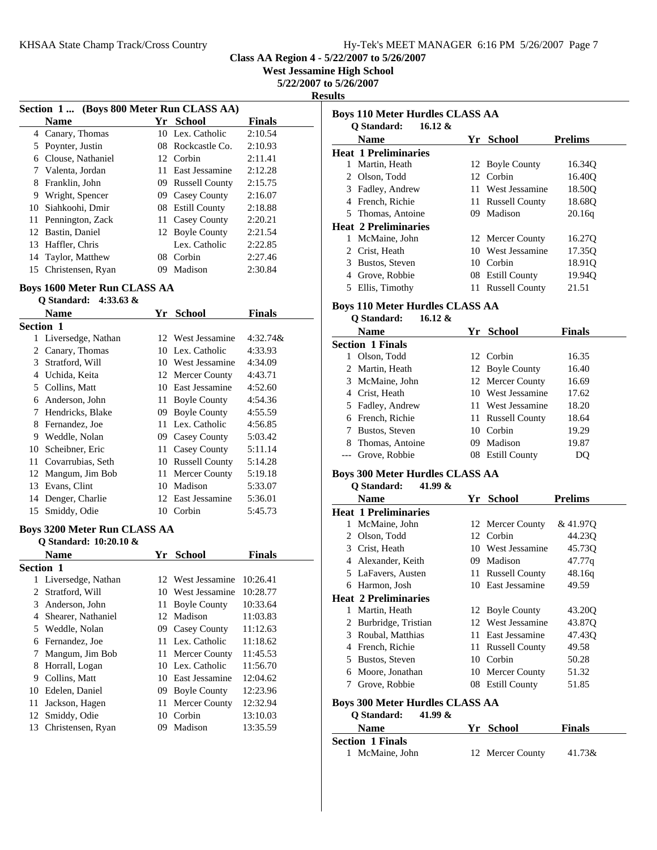**West Jessamine High School**

**5/22/2007 to 5/26/2007**

**Results**

|    | Section 1 (Boys 800 Meter Run CLASS AA) |    |                       |               |  |
|----|-----------------------------------------|----|-----------------------|---------------|--|
|    | <b>Name</b>                             |    | Yr School             | <b>Finals</b> |  |
| 4  | Canary, Thomas                          |    | 10 Lex. Catholic      | 2:10.54       |  |
| 5  | Poynter, Justin                         |    | 08 Rockcastle Co.     | 2:10.93       |  |
| 6  | Clouse, Nathaniel                       |    | 12 Corbin             | 2:11.41       |  |
| 7  | Valenta, Jordan                         | 11 | East Jessamine        | 2:12.28       |  |
| 8  | Franklin, John                          | 09 | <b>Russell County</b> | 2:15.75       |  |
| 9  | Wright, Spencer                         | 09 | Casey County          | 2:16.07       |  |
| 10 | Siahkoohi, Dmir                         |    | 08 Estill County      | 2:18.88       |  |
| 11 | Pennington, Zack                        | 11 | Casey County          | 2:20.21       |  |
| 12 | Bastin, Daniel                          |    | 12 Boyle County       | 2:21.54       |  |
| 13 | Haffler, Chris                          |    | Lex. Catholic         | 2:22.85       |  |
| 14 | Taylor, Matthew                         |    | 08 Corbin             | 2:27.46       |  |
| 15 | Christensen, Ryan                       | 09 | Madison               | 2:30.84       |  |

#### **Boys 1600 Meter Run CLASS AA Q Standard: 4:33.63 &**

| v bianuai u.<br>$\mathbf{L}$ |                    |      |                       |               |
|------------------------------|--------------------|------|-----------------------|---------------|
|                              | Name               | Yr   | <b>School</b>         | <b>Finals</b> |
|                              | <b>Section 1</b>   |      |                       |               |
| 1                            | Liversedge, Nathan |      | 12 West Jessamine     | $4:32.74\&$   |
| 2                            | Canary, Thomas     |      | 10 Lex. Catholic      | 4:33.93       |
| 3                            | Stratford, Will    |      | 10 West Jessamine     | 4:34.09       |
| 4                            | Uchida, Keita      |      | 12 Mercer County      | 4:43.71       |
| 5                            | Collins, Matt      | 10   | East Jessamine        | 4:52.60       |
| 6                            | Anderson, John     | 11   | <b>Boyle County</b>   | 4:54.36       |
| 7                            | Hendricks, Blake   | 09   | <b>Boyle County</b>   | 4:55.59       |
| 8                            | Fernandez, Joe     |      | 11 Lex. Catholic      | 4:56.85       |
| 9                            | Weddle, Nolan      | 09.  | Casey County          | 5:03.42       |
| 10.                          | Scheibner, Eric    | 11 - | Casey County          | 5:11.14       |
| 11.                          | Covarrubias, Seth  | 10   | <b>Russell County</b> | 5:14.28       |
| 12.                          | Mangum, Jim Bob    | 11-  | Mercer County         | 5:19.18       |
| 13                           | Evans, Clint       | 10   | Madison               | 5:33.07       |
| 14                           | Denger, Charlie    |      | 12 East Jessamine     | 5:36.01       |
| 15                           | Smiddy, Odie       | 10   | Corbin                | 5:45.73       |
|                              |                    |      |                       |               |

#### **Boys 3200 Meter Run CLASS AA Q Standard: 10:20.10 &**

|           | <b>Name</b>        | Yr  | <b>School</b>       | <b>Finals</b> |  |  |
|-----------|--------------------|-----|---------------------|---------------|--|--|
| Section 1 |                    |     |                     |               |  |  |
| 1         | Liversedge, Nathan |     | 12 West Jessamine   | 10:26.41      |  |  |
| 2         | Stratford, Will    | 10  | West Jessamine      | 10:28.77      |  |  |
| 3         | Anderson, John     | 11  | <b>Boyle County</b> | 10:33.64      |  |  |
| 4         | Shearer, Nathaniel |     | 12 Madison          | 11:03.83      |  |  |
| 5         | Weddle, Nolan      |     | 09 Casey County     | 11:12.63      |  |  |
| 6         | Fernandez, Joe     |     | 11 Lex. Catholic    | 11:18.62      |  |  |
| 7         | Mangum, Jim Bob    | 11. | Mercer County       | 11:45.53      |  |  |
| 8         | Horrall, Logan     |     | 10 Lex. Catholic    | 11:56.70      |  |  |
| 9         | Collins, Matt      | 10  | East Jessamine      | 12:04.62      |  |  |
| 10        | Edelen, Daniel     | 09  | <b>Boyle County</b> | 12:23.96      |  |  |
| 11        | Jackson, Hagen     | 11  | Mercer County       | 12:32.94      |  |  |
| 12        | Smiddy, Odie       | 10  | Corbin              | 13:10.03      |  |  |
| 13        | Christensen, Ryan  | 09  | Madison             | 13:35.59      |  |  |
|           |                    |     |                     |               |  |  |

| <b>Boys 110 Meter Hurdles CLASS AA</b><br>O Standard:<br>16.12 $\&$ |     |                       |                |  |  |
|---------------------------------------------------------------------|-----|-----------------------|----------------|--|--|
| <b>Name</b>                                                         |     | Yr School             | <b>Prelims</b> |  |  |
| <b>Heat 1 Preliminaries</b>                                         |     |                       |                |  |  |
| 1 Martin, Heath                                                     | 12  | <b>Boyle County</b>   | 16.34Q         |  |  |
| 2 Olson, Todd                                                       | 12  | Corbin                | 16.40Q         |  |  |
| 3 Fadley, Andrew                                                    | 11  | West Jessamine        | 18.50Q         |  |  |
| 4 French, Richie                                                    |     | 11 Russell County     | 18.68Q         |  |  |
| 5 Thomas, Antoine                                                   |     | 09 Madison            | 20.16q         |  |  |
| <b>Heat 2 Preliminaries</b>                                         |     |                       |                |  |  |
| 1 McMaine, John                                                     |     | 12 Mercer County      | 16.27Q         |  |  |
| 2 Crist, Heath                                                      |     | 10 West Jessamine     | 17.35Q         |  |  |
| 3 Bustos, Steven                                                    |     | 10 Corbin             | 18.91Q         |  |  |
| 4 Grove, Robbie                                                     |     | 08 Estill County      | 19.94Q         |  |  |
| 5 Ellis, Timothy                                                    |     | 11 Russell County     | 21.51          |  |  |
|                                                                     |     |                       |                |  |  |
| <b>Boys 110 Meter Hurdles CLASS AA</b><br>O Standard:<br>16.12 $\&$ |     |                       |                |  |  |
| <b>Name</b>                                                         |     | Yr School             | <b>Finals</b>  |  |  |
| <b>Section 1 Finals</b>                                             |     |                       |                |  |  |
| 1 Olson, Todd                                                       |     | 12 Corbin             | 16.35          |  |  |
| 2 Martin, Heath                                                     |     | 12 Boyle County       | 16.40          |  |  |
| 3 McMaine, John                                                     |     | 12 Mercer County      | 16.69          |  |  |
| 4 Crist, Heath                                                      |     | 10 West Jessamine     | 17.62          |  |  |
| 5 Fadley, Andrew                                                    |     | 11 West Jessamine     | 18.20          |  |  |
| 6 French, Richie                                                    |     | 11 Russell County     | 18.64          |  |  |
| 7 Bustos, Steven                                                    |     | 10 Corbin             | 19.29          |  |  |
| 8 Thomas, Antoine                                                   |     | 09 Madison            | 19.87          |  |  |
| --- Grove, Robbie                                                   |     | 08 Estill County      | DQ             |  |  |
| <b>Boys 300 Meter Hurdles CLASS AA</b>                              |     |                       |                |  |  |
| Q Standard:<br>41.99 &                                              |     |                       |                |  |  |
| <b>Name</b>                                                         |     | Yr School             | <b>Prelims</b> |  |  |
| <b>Heat 1 Preliminaries</b>                                         |     |                       |                |  |  |
| 1 McMaine, John                                                     |     | 12 Mercer County      | & 41.97Q       |  |  |
| 2 Olson, Todd                                                       |     | 12 Corbin             | 44.23Q         |  |  |
| 3 Crist, Heath                                                      |     | 10 West Jessamine     | 45.73Q         |  |  |
| 4 Alexander, Keith                                                  |     | 09 Madison            | 47.77q         |  |  |
| 5 LaFavers, Austen                                                  |     | 11 Russell County     | 48.16q         |  |  |
| 6 Harmon, Josh                                                      |     | 10 East Jessamine     | 49.59          |  |  |
| <b>Heat 2 Preliminaries</b>                                         |     |                       |                |  |  |
| 1 Martin, Heath                                                     |     | 12 Boyle County       | 43.20Q         |  |  |
| 2 Burbridge, Tristian                                               |     | 12 West Jessamine     | 43.87Q         |  |  |
| 3 Roubal, Matthias                                                  |     | 11 East Jessamine     | 47.43Q         |  |  |
| 4 French, Richie                                                    | 11- | <b>Russell County</b> | 49.58          |  |  |
| 5 Bustos, Steven                                                    |     | 10 Corbin             | 50.28          |  |  |
| 6 Moore, Jonathan                                                   |     | 10 Mercer County      | 51.32          |  |  |
| 7 Grove, Robbie                                                     |     | 08 Estill County      | 51.85          |  |  |
| <b>Boys 300 Meter Hurdles CLASS AA</b>                              |     |                       |                |  |  |
| <b>Q</b> Standard:<br>41.99 $\&$                                    |     |                       |                |  |  |
| <b>Name</b>                                                         |     | Yr School             | Finals         |  |  |
| <b>Section 1 Finals</b>                                             |     |                       |                |  |  |
| 1 McMaine, John                                                     |     | 12 Mercer County      | 41.73&         |  |  |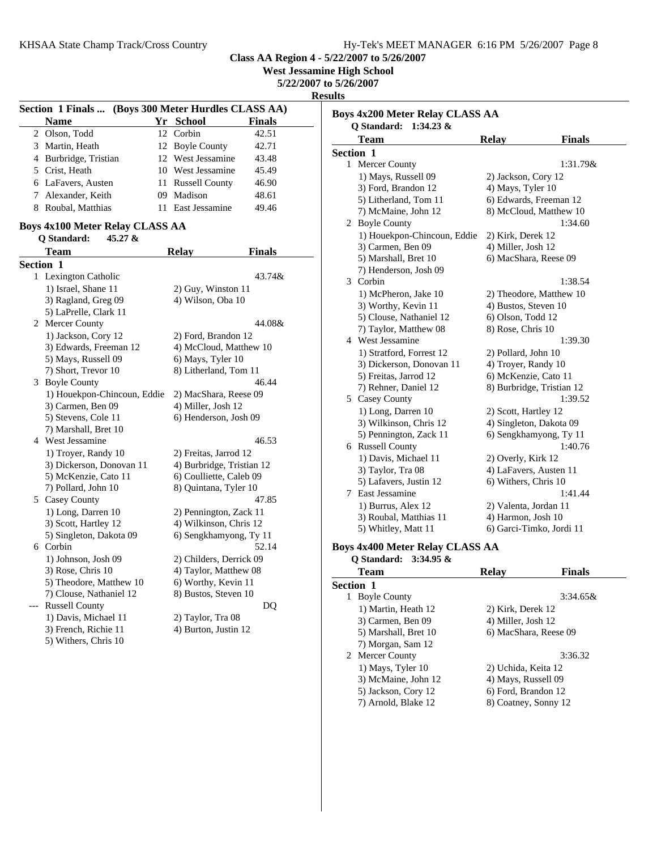**Class AA Region 4 - 5/22/2007 to 5/26/2007 West Jessamine High School 5/22/2007 to 5/26/2007 Results Section 1 Finals ... (Boys 300 Meter Hurdles CLASS AA) Name Finals Yr School** 2 42.51 Olson, Todd 12 Corbin 3 Martin, Heath 12 Boyle County 42.71 4 Burbridge, Tristian 12 West Jessamine 43.48 5 Crist, Heath 10 West Jessamine 45.49 6 46.90 LaFavers, Austen 11 Russell County 7 Alexander, Keith 09 Madison 48.61 8 49.46 Roubal, Matthias 11 East Jessamine **Q Standard: 45.27 &**

#### **Boys 4x100 Meter Relay CLASS AA**

|     | Team                        | <b>Relay</b>              | <b>Finals</b> |
|-----|-----------------------------|---------------------------|---------------|
|     | <b>Section 1</b>            |                           |               |
| 1   | Lexington Catholic          |                           | 43.74&        |
|     | 1) Israel, Shane 11         | 2) Guy, Winston 11        |               |
|     | 3) Ragland, Greg 09         | 4) Wilson, Oba 10         |               |
|     | 5) LaPrelle, Clark 11       |                           |               |
| 2   | Mercer County               |                           | 44.08&        |
|     | 1) Jackson, Cory 12         | 2) Ford, Brandon 12       |               |
|     | 3) Edwards, Freeman 12      | 4) McCloud, Matthew 10    |               |
|     | 5) Mays, Russell 09         | 6) Mays, Tyler 10         |               |
|     | 7) Short, Trevor 10         | 8) Litherland, Tom 11     |               |
| 3   | <b>Boyle County</b>         |                           | 46.44         |
|     | 1) Houekpon-Chincoun, Eddie | 2) MacShara, Reese 09     |               |
|     | 3) Carmen, Ben 09           | 4) Miller, Josh 12        |               |
|     | 5) Stevens, Cole 11         | 6) Henderson, Josh 09     |               |
|     | 7) Marshall, Bret 10        |                           |               |
|     | 4 West Jessamine            |                           | 46.53         |
|     | 1) Troyer, Randy 10         | 2) Freitas, Jarrod 12     |               |
|     | 3) Dickerson, Donovan 11    | 4) Burbridge, Tristian 12 |               |
|     | 5) McKenzie, Cato 11        | 6) Coulliette, Caleb 09   |               |
|     | 7) Pollard, John 10         | 8) Quintana, Tyler 10     |               |
|     | 5 Casey County              |                           | 47.85         |
|     | 1) Long, Darren 10          | 2) Pennington, Zack 11    |               |
|     | 3) Scott, Hartley 12        | 4) Wilkinson, Chris 12    |               |
|     | 5) Singleton, Dakota 09     | 6) Sengkhamyong, Ty 11    |               |
|     | 6 Corbin                    |                           | 52.14         |
|     | 1) Johnson, Josh 09         | 2) Childers, Derrick 09   |               |
|     | 3) Rose, Chris 10           | 4) Taylor, Matthew 08     |               |
|     | 5) Theodore, Matthew 10     | 6) Worthy, Kevin 11       |               |
|     | 7) Clouse, Nathaniel 12     | 8) Bustos, Steven 10      |               |
| --- | <b>Russell County</b>       |                           | DQ            |
|     | 1) Davis, Michael 11        | 2) Taylor, Tra 08         |               |
|     | 3) French, Richie 11        | 4) Burton, Justin 12      |               |
|     | 5) Withers, Chris 10        |                           |               |

|                  | $1:34.23 \&$<br><b>O</b> Standard:<br>Team |                        |                                                  |
|------------------|--------------------------------------------|------------------------|--------------------------------------------------|
|                  |                                            | <b>Relay</b>           | <b>Finals</b>                                    |
| <b>Section 1</b> |                                            |                        | 1:31.79&                                         |
|                  | 1 Mercer County                            |                        |                                                  |
|                  | 1) Mays, Russell 09                        | 2) Jackson, Cory 12    |                                                  |
|                  | 3) Ford, Brandon 12                        | 4) Mays, Tyler 10      |                                                  |
|                  | 5) Litherland, Tom 11                      |                        | 6) Edwards, Freeman 12<br>8) McCloud, Matthew 10 |
|                  | 7) McMaine, John 12                        |                        |                                                  |
|                  | 2 Boyle County                             |                        | 1:34.60                                          |
|                  | 1) Houekpon-Chincoun, Eddie                | 2) Kirk, Derek 12      |                                                  |
|                  | 3) Carmen, Ben 09                          | 4) Miller, Josh 12     |                                                  |
|                  | 5) Marshall, Bret 10                       | 6) MacShara, Reese 09  |                                                  |
|                  | 7) Henderson, Josh 09                      |                        |                                                  |
|                  | 3 Corbin                                   |                        | 1:38.54                                          |
|                  | 1) McPheron, Jake 10                       |                        | 2) Theodore, Matthew 10                          |
|                  | 3) Worthy, Kevin 11                        | 4) Bustos, Steven 10   |                                                  |
|                  | 5) Clouse, Nathaniel 12                    | 6) Olson, Todd 12      |                                                  |
|                  | 7) Taylor, Matthew 08                      | 8) Rose, Chris 10      |                                                  |
|                  | 4 West Jessamine                           |                        | 1:39.30                                          |
|                  | 1) Stratford, Forrest 12                   | 2) Pollard, John 10    |                                                  |
|                  | 3) Dickerson, Donovan 11                   | 4) Troyer, Randy 10    |                                                  |
|                  | 5) Freitas, Jarrod 12                      | 6) McKenzie, Cato 11   |                                                  |
|                  | 7) Rehner, Daniel 12                       |                        | 8) Burbridge, Tristian 12                        |
|                  | 5 Casey County                             |                        | 1:39.52                                          |
|                  | 1) Long, Darren 10                         | 2) Scott, Hartley 12   |                                                  |
|                  | 3) Wilkinson, Chris 12                     |                        | 4) Singleton, Dakota 09                          |
|                  | 5) Pennington, Zack 11                     |                        | 6) Sengkhamyong, Ty 11                           |
|                  | 6 Russell County                           |                        | 1:40.76                                          |
|                  | 1) Davis, Michael 11                       | 2) Overly, Kirk 12     |                                                  |
|                  | 3) Taylor, Tra 08                          | 4) LaFavers, Austen 11 |                                                  |
|                  | 5) Lafavers, Justin 12                     | 6) Withers, Chris 10   |                                                  |
|                  | 7 East Jessamine                           |                        | 1:41.44                                          |
|                  | 1) Burrus, Alex 12                         | 2) Valenta, Jordan 11  |                                                  |
|                  | 3) Roubal, Matthias 11                     | 4) Harmon, Josh 10     |                                                  |
|                  | 5) Whitley, Matt 11                        |                        | 6) Garci-Timko, Jordi 11                         |
|                  | Boys 4x400 Meter Relay CLASS AA            |                        |                                                  |
|                  | Q Standard:<br>3:34.95 &                   |                        |                                                  |
|                  | <b>Team</b>                                | <b>Relay</b>           | <b>Finals</b>                                    |

| <b>Section 1</b>     |                       |
|----------------------|-----------------------|
| 1 Boyle County       | $3:34.65\&$           |
| 1) Martin, Heath 12  | 2) Kirk, Derek 12     |
| 3) Carmen, Ben 09    | 4) Miller, Josh 12    |
| 5) Marshall, Bret 10 | 6) MacShara, Reese 09 |
| 7) Morgan, Sam 12    |                       |
| 2 Mercer County      | 3:36.32               |
| 1) Mays, Tyler 10    | 2) Uchida, Keita 12   |
| 3) McMaine, John 12  | 4) Mays, Russell 09   |
| 5) Jackson, Cory 12  | 6) Ford, Brandon 12   |
| 7) Arnold, Blake 12  | 8) Coatney, Sonny 12  |
|                      |                       |